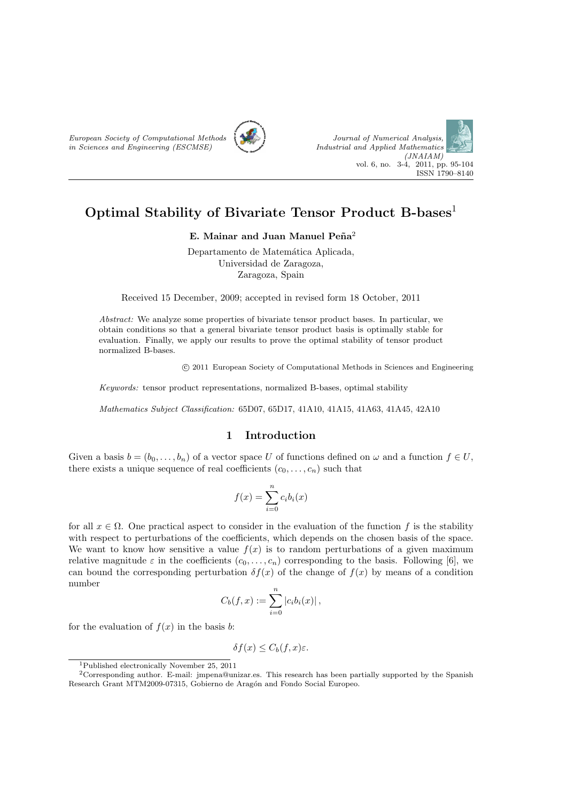



# **Optimal Stability of Bivariate Tensor Product B-bases**<sup>1</sup>

**E.** Mainar and Juan Manuel Peña<sup>2</sup>

Departamento de Matemática Aplicada, Universidad de Zaragoza, Zaragoza, Spain

Received 15 December, 2009; accepted in revised form 18 October, 2011

*Abstract:* We analyze some properties of bivariate tensor product bases. In particular, we obtain conditions so that a general bivariate tensor product basis is optimally stable for evaluation. Finally, we apply our results to prove the optimal stability of tensor product normalized B-bases.

*⃝*c 2011 European Society of Computational Methods in Sciences and Engineering

*Keywords:* tensor product representations, normalized B-bases, optimal stability

*Mathematics Subject Classification:* 65D07, 65D17, 41A10, 41A15, 41A63, 41A45, 42A10

### **1 Introduction**

Given a basis  $b = (b_0, \ldots, b_n)$  of a vector space U of functions defined on  $\omega$  and a function  $f \in U$ , there exists a unique sequence of real coefficients  $(c_0, \ldots, c_n)$  such that

$$
f(x) = \sum_{i=0}^{n} c_i b_i(x)
$$

for all  $x \in \Omega$ . One practical aspect to consider in the evaluation of the function f is the stability with respect to perturbations of the coefficients, which depends on the chosen basis of the space. We want to know how sensitive a value  $f(x)$  is to random perturbations of a given maximum relative magnitude  $\varepsilon$  in the coefficients  $(c_0, \ldots, c_n)$  corresponding to the basis. Following [6], we can bound the corresponding perturbation  $\delta f(x)$  of the change of  $f(x)$  by means of a condition number

$$
C_b(f, x) := \sum_{i=0}^n |c_i b_i(x)|,
$$

for the evaluation of  $f(x)$  in the basis *b*:

$$
\delta f(x) \leq C_b(f, x)\varepsilon.
$$

<sup>1</sup>Published electronically November 25, 2011

<sup>2</sup>Corresponding author. E-mail: jmpena@unizar.es. This research has been partially supported by the Spanish Research Grant MTM2009-07315, Gobierno de Aragón and Fondo Social Europeo.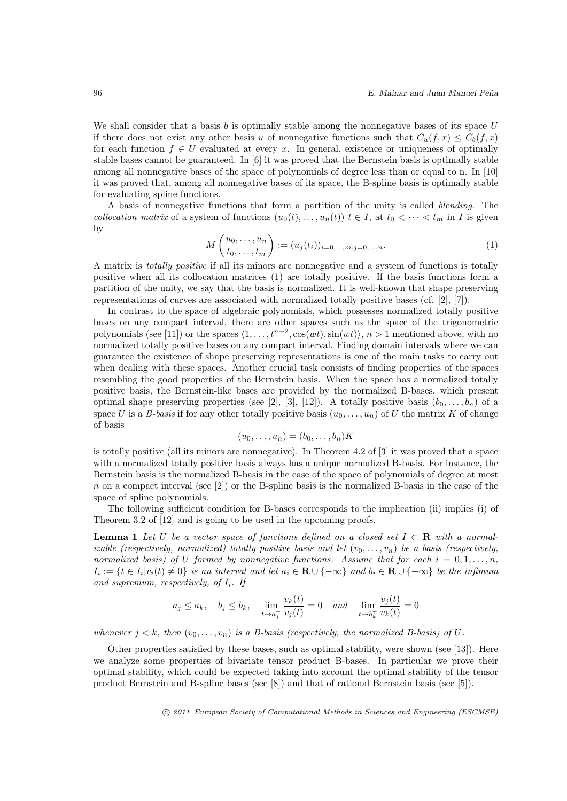We shall consider that a basis *b* is optimally stable among the nonnegative bases of its space *U* if there does not exist any other basis *u* of nonnegative functions such that  $C_u(f, x) \leq C_b(f, x)$ for each function  $f \in U$  evaluated at every *x*. In general, existence or uniqueness of optimally stable bases cannot be guaranteed. In [6] it was proved that the Bernstein basis is optimally stable among all nonnegative bases of the space of polynomials of degree less than or equal to n. In [10] it was proved that, among all nonnegative bases of its space, the B-spline basis is optimally stable for evaluating spline functions.

A basis of nonnegative functions that form a partition of the unity is called *blending*. The *collocation matrix* of a system of functions  $(u_0(t), \ldots, u_n(t))$   $t \in I$ , at  $t_0 < \cdots < t_m$  in *I* is given by

$$
M\begin{pmatrix} u_0, \dots, u_n \\ t_0, \dots, t_m \end{pmatrix} := (u_j(t_i))_{i=0,\dots,m; j=0,\dots,n}.
$$
 (1)

A matrix is *totally positive* if all its minors are nonnegative and a system of functions is totally positive when all its collocation matrices (1) are totally positive. If the basis functions form a partition of the unity, we say that the basis is normalized. It is well-known that shape preserving representations of curves are associated with normalized totally positive bases (cf. [2], [7]).

In contrast to the space of algebraic polynomials, which possesses normalized totally positive bases on any compact interval, there are other spaces such as the space of the trigonometric polynomials (see [11]) or the spaces  $\langle 1, \ldots, t^{n-2}, \cos(wt), \sin(wt) \rangle$ ,  $n > 1$  mentioned above, with no normalized totally positive bases on any compact interval. Finding domain intervals where we can guarantee the existence of shape preserving representations is one of the main tasks to carry out when dealing with these spaces. Another crucial task consists of finding properties of the spaces resembling the good properties of the Bernstein basis. When the space has a normalized totally positive basis, the Bernstein-like bases are provided by the normalized B-bases, which present optimal shape preserving properties (see [2], [3], [12]). A totally positive basis  $(b_0, \ldots, b_n)$  of a space *U* is a *B-basis* if for any other totally positive basis  $(u_0, \ldots, u_n)$  of *U* the matrix *K* of change of basis

$$
(u_0,\ldots,u_n)=(b_0,\ldots,b_n)K
$$

is totally positive (all its minors are nonnegative). In Theorem 4.2 of [3] it was proved that a space with a normalized totally positive basis always has a unique normalized B-basis. For instance, the Bernstein basis is the normalized B-basis in the case of the space of polynomials of degree at most *n* on a compact interval (see [2]) or the B-spline basis is the normalized B-basis in the case of the space of spline polynomials.

The following sufficient condition for B-bases corresponds to the implication (ii) implies (i) of Theorem 3.2 of [12] and is going to be used in the upcoming proofs.

**Lemma 1** Let *U* be a vector space of functions defined on a closed set  $I \subset \mathbb{R}$  with a normal*izable (respectively, normalized) totally positive basis and let*  $(v_0, \ldots, v_n)$  be a basis (respectively, *normalized basis) of U formed by nonnegative functions. Assume that for each*  $i = 0, 1, \ldots, n$ ,  $I_i := \{t \in I_i | v_i(t) \neq 0\}$  is an interval and let  $a_i \in \mathbf{R} \cup \{-\infty\}$  and  $b_i \in \mathbf{R} \cup \{+\infty\}$  be the infimum *and supremum, respectively, of Ii. If*

$$
a_j \le a_k
$$
,  $b_j \le b_k$ ,  $\lim_{t \to a_j^+} \frac{v_k(t)}{v_j(t)} = 0$  and  $\lim_{t \to b_k^+} \frac{v_j(t)}{v_k(t)} = 0$ 

*whenever*  $j < k$ *, then*  $(v_0, \ldots, v_n)$  *is a B-basis (respectively, the normalized B-basis) of* U.

Other properties satisfied by these bases, such as optimal stability, were shown (see [13]). Here we analyze some properties of bivariate tensor product B-bases. In particular we prove their optimal stability, which could be expected taking into account the optimal stability of the tensor product Bernstein and B-spline bases (see [8]) and that of rational Bernstein basis (see [5]).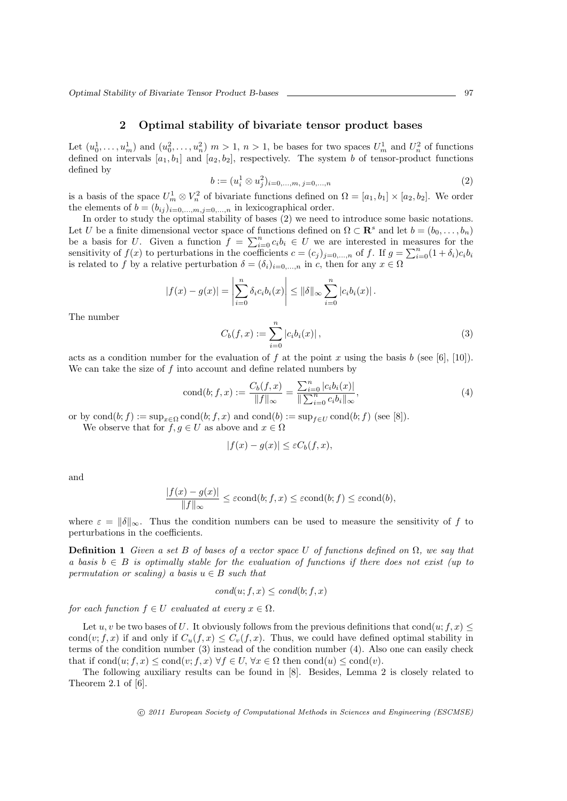*Optimal Stability of Bivariate Tensor Product B-bases* 97

## **2 Optimal stability of bivariate tensor product bases**

Let  $(u_0^1, \ldots, u_m^1)$  and  $(u_0^2, \ldots, u_n^2)$   $m > 1$ ,  $n > 1$ , be bases for two spaces  $U_m^1$  and  $U_n^2$  of functions defined on intervals  $[a_1, b_1]$  and  $[a_2, b_2]$ , respectively. The system *b* of tensor-product functions defined by

$$
b := (u_i^1 \otimes u_j^2)_{i=0,\dots,m, j=0,\dots,n} \tag{2}
$$

is a basis of the space  $U_m^1 \otimes V_n^2$  of bivariate functions defined on  $\Omega = [a_1, b_1] \times [a_2, b_2]$ . We order the elements of  $b = (b_{ij})_{i=0,\dots,m,j=0,\dots,n}$  in lexicographical order.

In order to study the optimal stability of bases (2) we need to introduce some basic notations. Let *U* be a finite dimensional vector space of functions defined on  $\Omega \subset \mathbb{R}^s$  and let  $b = (b_0, \ldots, b_n)$ be a basis for *U*. Given a function  $f = \sum_{i=0}^{n} c_i b_i \in U$  we are interested in measures for the sensitivity of  $f(x)$  to perturbations in the coefficients  $c = (c_j)_{j=0,...,n}$  of f. If  $g = \sum_{i=0}^{n} (1 + \delta_i)c_i b_i$ is related to *f* by a relative perturbation  $\delta = (\delta_i)_{i=0,\dots,n}$  in *c*, then for any  $x \in \Omega$ 

$$
|f(x) - g(x)| = \left| \sum_{i=0}^{n} \delta_i c_i b_i(x) \right| \le ||\delta||_{\infty} \sum_{i=0}^{n} |c_i b_i(x)|.
$$
  

$$
C_b(f, x) := \sum_{i=0}^{n} |c_i b_i(x)|,
$$
 (3)

The number

$$
C_b(f, x) := \sum_{i=0}^{\infty} |c_i b_i(x)|,
$$
 (3)

acts as a condition number for the evaluation of  $f$  at the point  $x$  using the basis  $b$  (see [6], [10]). We can take the size of *f* into account and define related numbers by

cond(b; f, x) := 
$$
\frac{C_b(f, x)}{\|f\|_{\infty}} = \frac{\sum_{i=0}^{n} |c_i b_i(x)|}{\|\sum_{i=0}^{n} c_i b_i\|_{\infty}},
$$
 (4)

or by  $cond(b; f) := sup_{x \in \Omega} cond(b; f, x)$  and  $cond(b) := sup_{f \in U} cond(b; f)$  (see [8]).

We observe that for  $f, g \in U$  as above and  $x \in \Omega$ 

$$
|f(x) - g(x)| \le \varepsilon C_b(f, x),
$$

and

$$
\frac{|f(x) - g(x)|}{\|f\|_{\infty}} \le \varepsilon \operatorname{cond}(b; f, x) \le \varepsilon \operatorname{cond}(b; f) \le \varepsilon \operatorname{cond}(b),
$$

where  $\varepsilon = ||\delta||_{\infty}$ . Thus the condition numbers can be used to measure the sensitivity of f to perturbations in the coefficients.

**Definition 1** *Given a set B of bases of a vector space U of functions defined on*  $\Omega$ *, we say that a* basis  $b \in B$  *is optimally stable for the evaluation of functions if there does not exist (up to permutation or scaling)* a basis  $u \in B$  *such that* 

$$
cond(u; f, x) \leq cond(b; f, x)
$$

*for each function*  $f \in U$  *evaluated at every*  $x \in \Omega$ *.* 

Let *u, v* be two bases of *U*. It obviously follows from the previous definitions that cond $(u; f, x) \leq$ cond $(v; f, x)$  if and only if  $C_u(f, x) \leq C_v(f, x)$ . Thus, we could have defined optimal stability in terms of the condition number (3) instead of the condition number (4). Also one can easily check that if  $\text{cond}(u; f, x) \leq \text{cond}(v; f, x) \ \forall f \in U, \forall x \in \Omega \ \text{then } \text{cond}(u) \leq \text{cond}(v).$ 

The following auxiliary results can be found in [8]. Besides, Lemma 2 is closely related to Theorem 2.1 of [6].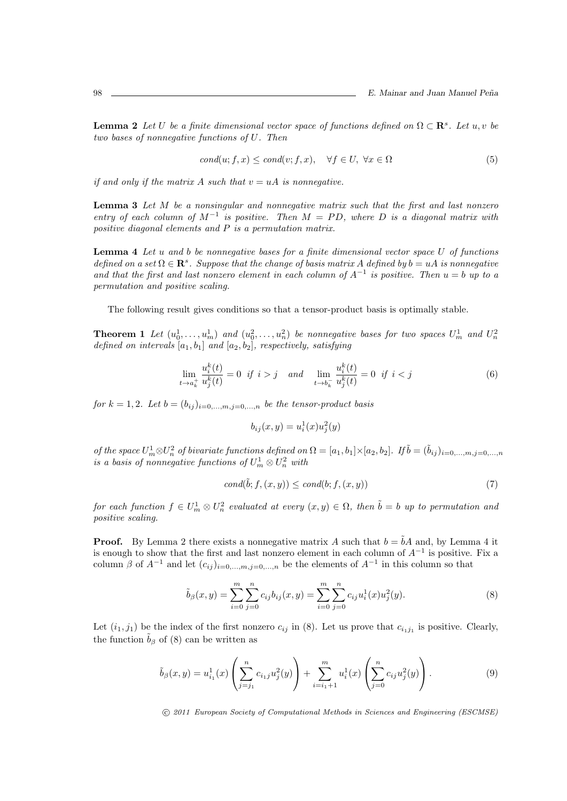**Lemma 2** *Let U be a finite dimensional vector space of functions defined on*  $\Omega \subset \mathbb{R}^s$ *. Let*  $u, v$  *be two bases of nonnegative functions of U. Then*

$$
cond(u; f, x) \leq cond(v; f, x), \quad \forall f \in U, \ \forall x \in \Omega
$$
\n
$$
(5)
$$

*if and only if the matrix*  $A$  *such that*  $v = uA$  *is nonnegative.* 

**Lemma 3** *Let M be a nonsingular and nonnegative matrix such that the first and last nonzero entry of each column of*  $M^{-1}$  *is positive. Then*  $M = PD$ *, where*  $D$  *is a diagonal matrix with positive diagonal elements and P is a permutation matrix.*

**Lemma 4** *Let u and b be nonnegative bases for a finite dimensional vector space U of functions defined on a set*  $\Omega \in \mathbb{R}^s$ *. Suppose that the change of basis matrix A defined by*  $b = uA$  *is nonnegative and that the first and last nonzero element in each column of*  $A^{-1}$  *is positive. Then*  $u = b$  *up to a permutation and positive scaling.*

The following result gives conditions so that a tensor-product basis is optimally stable.

**Theorem 1** Let  $(u_0^1, \ldots, u_m^1)$  and  $(u_0^2, \ldots, u_n^2)$  be nonnegative bases for two spaces  $U_m^1$  and  $U_m^2$ *defined on intervals* [*a*1*, b*1] *and* [*a*2*, b*2]*, respectively, satisfying*

$$
\lim_{t \to a_k^+} \frac{u_i^k(t)}{u_j^k(t)} = 0 \quad \text{if } i > j \quad \text{and} \quad \lim_{t \to b_k^-} \frac{u_i^k(t)}{u_j^k(t)} = 0 \quad \text{if } i < j \tag{6}
$$

*for*  $k = 1, 2$ *. Let*  $b = (b_{ij})_{i=0,\dots,m,j=0,\dots,n}$  *be the tensor-product basis* 

$$
b_{ij}(x,y) = u_i^1(x)u_j^2(y)
$$

of the space  $U_m^1 \otimes U_n^2$  of bivariate functions defined on  $\Omega = [a_1, b_1] \times [a_2, b_2]$ . If  $\tilde{b} = (\tilde{b}_{ij})_{i=0,...,m, j=0,...,n}$ *is a basis of nonnegative functions of*  $U_m^1 \otimes U_n^2$  *with* 

$$
cond(\tilde{b}; f, (x, y)) \leq cond(b; f, (x, y))
$$
\n<sup>(7)</sup>

*for each function*  $f \in U_m^1 \otimes U_n^2$  *evaluated at every*  $(x, y) \in \Omega$ *, then*  $\tilde{b} = b$  *up to permutation and positive scaling.*

**Proof.** By Lemma 2 there exists a nonnegative matrix *A* such that  $b = \tilde{b}A$  and, by Lemma 4 it is enough to show that the first and last nonzero element in each column of *A−*<sup>1</sup> is positive. Fix a column  $\beta$  of  $A^{-1}$  and let  $(c_{ij})_{i=0,\dots,m,j=0,\dots,n}$  be the elements of  $A^{-1}$  in this column so that

$$
\tilde{b}_{\beta}(x,y) = \sum_{i=0}^{m} \sum_{j=0}^{n} c_{ij} b_{ij}(x,y) = \sum_{i=0}^{m} \sum_{j=0}^{n} c_{ij} u_i^1(x) u_j^2(y).
$$
\n(8)

Let  $(i_1, j_1)$  be the index of the first nonzero  $c_{ij}$  in (8). Let us prove that  $c_{i_1j_1}$  is positive. Clearly, the function  $\tilde{b}_{\beta}$  of (8) can be written as

$$
\tilde{b}_{\beta}(x,y) = u_{i_1}^1(x) \left( \sum_{j=j_1}^n c_{i_1j} u_j^2(y) \right) + \sum_{i=i_1+1}^m u_i^1(x) \left( \sum_{j=0}^n c_{ij} u_j^2(y) \right).
$$
\n(9)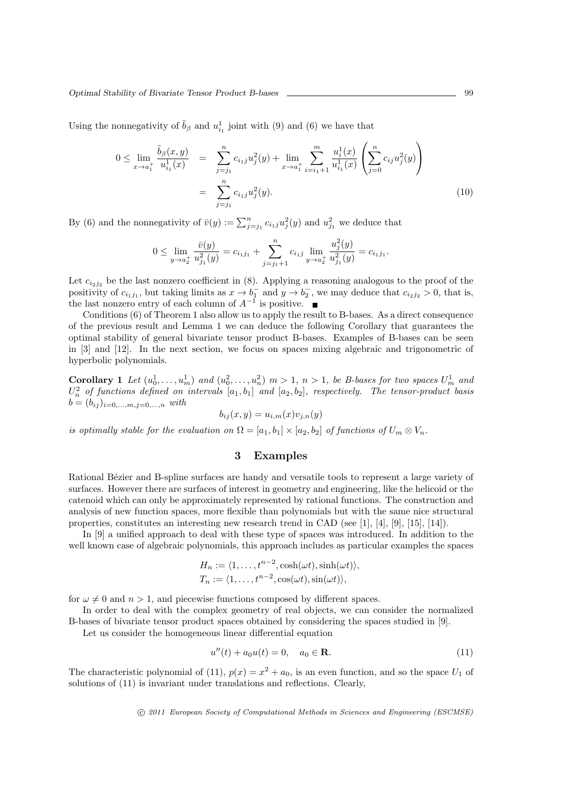Using the nonnegativity of  $\tilde{b}_{\beta}$  and  $u_{i_1}^1$  joint with (9) and (6) we have that

$$
0 \leq \lim_{x \to a_1^+} \frac{\tilde{b}_{\beta}(x, y)}{u_{i_1}^1(x)} = \sum_{j=j_1}^n c_{i_1 j} u_j^2(y) + \lim_{x \to a_1^+} \sum_{i=i_1+1}^m \frac{u_i^1(x)}{u_{i_1}^1(x)} \left( \sum_{j=0}^n c_{i j} u_j^2(y) \right)
$$
  

$$
= \sum_{j=j_1}^n c_{i_1 j} u_j^2(y).
$$
 (10)

By (6) and the nonnegativity of  $\bar{v}(y) := \sum_{j=j_1}^n c_{i,j} u_j^2(y)$  and  $u_{j_1}^2$  we deduce that

$$
0 \leq \lim_{y \to a_2^+} \frac{\bar{v}(y)}{u_{j_1}^2(y)} = c_{i_1 j_1} + \sum_{j=j_1+1}^n c_{i_1 j} \lim_{y \to a_2^+} \frac{u_j^2(y)}{u_{j_1}^2(y)} = c_{i_1 j_1}.
$$

Let  $c_{i_2j_2}$  be the last nonzero coefficient in (8). Applying a reasoning analogous to the proof of the positivity of  $c_{i_1j_1}$ , but taking limits as  $x \to b_1^-$  and  $y \to b_2^-$ , we may deduce that  $c_{i_2j_2} > 0$ , that is, the last nonzero entry of each column of  $A^{-1}$  is positive.

Conditions (6) of Theorem 1 also allow us to apply the result to B-bases. As a direct consequence of the previous result and Lemma 1 we can deduce the following Corollary that guarantees the optimal stability of general bivariate tensor product B-bases. Examples of B-bases can be seen in [3] and [12]. In the next section, we focus on spaces mixing algebraic and trigonometric of hyperbolic polynomials.

**Corollary** 1 Let  $(u_0^1, \ldots, u_m^1)$  and  $(u_0^2, \ldots, u_n^2)$   $m > 1$ ,  $n > 1$ , be B-bases for two spaces  $U_m^1$  and  $U_n^2$  *of functions defined on intervals*  $[a_1, b_1]$  *and*  $[a_2, b_2]$ *, respectively. The tensor-product basis*  $b = (b_{ij})_{i=0,...,m,j=0,...,n}$  *with* 

$$
b_{ij}(x,y) = u_{i,m}(x)v_{j,n}(y)
$$

*is optimally stable for the evaluation on*  $\Omega = [a_1, b_1] \times [a_2, b_2]$  *of functions of*  $U_m \otimes V_n$ .

# **3 Examples**

Rational Bézier and B-spline surfaces are handy and versatile tools to represent a large variety of surfaces. However there are surfaces of interest in geometry and engineering, like the helicoid or the catenoid which can only be approximately represented by rational functions. The construction and analysis of new function spaces, more flexible than polynomials but with the same nice structural properties, constitutes an interesting new research trend in CAD (see [1], [4], [9], [15], [14]).

In [9] a unified approach to deal with these type of spaces was introduced. In addition to the well known case of algebraic polynomials, this approach includes as particular examples the spaces

$$
H_n := \langle 1, \ldots, t^{n-2}, \cosh(\omega t), \sinh(\omega t) \rangle,
$$
  
\n
$$
T_n := \langle 1, \ldots, t^{n-2}, \cos(\omega t), \sin(\omega t) \rangle,
$$

for  $\omega \neq 0$  and  $n > 1$ , and piecewise functions composed by different spaces.

In order to deal with the complex geometry of real objects, we can consider the normalized B-bases of bivariate tensor product spaces obtained by considering the spaces studied in [9].

Let us consider the homogeneous linear differential equation

$$
u''(t) + a_0 u(t) = 0, \quad a_0 \in \mathbf{R}.\tag{11}
$$

The characteristic polynomial of (11),  $p(x) = x^2 + a_0$ , is an even function, and so the space  $U_1$  of solutions of (11) is invariant under translations and reflections. Clearly,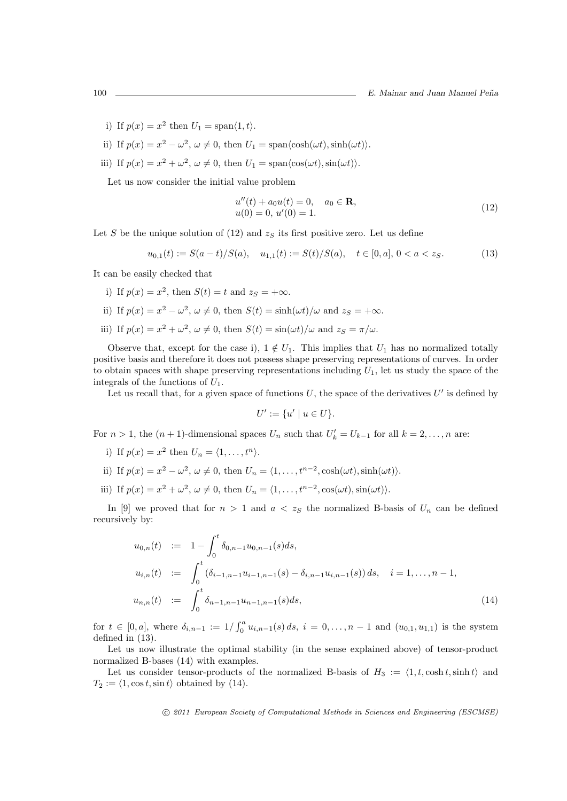- i) If  $p(x) = x^2$  then  $U_1 = \text{span}(1, t)$ .
- ii) If  $p(x) = x^2 \omega^2$ ,  $\omega \neq 0$ , then  $U_1 = \text{span}(\cosh(\omega t), \sinh(\omega t))$ .
- iii) If  $p(x) = x^2 + \omega^2$ ,  $\omega \neq 0$ , then  $U_1 = \text{span}\langle \cos(\omega t), \sin(\omega t) \rangle$ .

Let us now consider the initial value problem

$$
u''(t) + a_0 u(t) = 0, \quad a_0 \in \mathbf{R},
$$
  
 
$$
u(0) = 0, u'(0) = 1.
$$
 (12)

Let *S* be the unique solution of  $(12)$  and  $z<sub>S</sub>$  its first positive zero. Let us define

$$
u_{0,1}(t) := S(a-t)/S(a), \quad u_{1,1}(t) := S(t)/S(a), \quad t \in [0, a], \ 0 < a < z_S. \tag{13}
$$

It can be easily checked that

- i) If  $p(x) = x^2$ , then  $S(t) = t$  and  $z_S = +\infty$ .
- ii) If  $p(x) = x^2 \omega^2$ ,  $\omega \neq 0$ , then  $S(t) = \sinh(\omega t)/\omega$  and  $z_s = +\infty$ .
- iii) If  $p(x) = x^2 + \omega^2$ ,  $\omega \neq 0$ , then  $S(t) = \sin(\omega t)/\omega$  and  $z_s = \pi/\omega$ .

Observe that, except for the case i),  $1 \notin U_1$ . This implies that  $U_1$  has no normalized totally positive basis and therefore it does not possess shape preserving representations of curves. In order to obtain spaces with shape preserving representations including  $U_1$ , let us study the space of the integrals of the functions of *U*1.

Let us recall that, for a given space of functions *U*, the space of the derivatives *U ′* is defined by

$$
U' := \{u' \mid u \in U\}.
$$

For  $n > 1$ , the  $(n + 1)$ -dimensional spaces  $U_n$  such that  $U'_k = U_{k-1}$  for all  $k = 2, \ldots, n$  are:

- i) If  $p(x) = x^2$  then  $U_n = \langle 1, ..., t^n \rangle$ .
- ii) If  $p(x) = x^2 \omega^2$ ,  $\omega \neq 0$ , then  $U_n = \langle 1, \ldots, t^{n-2}, \cosh(\omega t), \sinh(\omega t) \rangle$ .
- iii) If  $p(x) = x^2 + \omega^2$ ,  $\omega \neq 0$ , then  $U_n = \langle 1, \ldots, t^{n-2}, \cos(\omega t), \sin(\omega t) \rangle$ .

In [9] we proved that for  $n > 1$  and  $a < z<sub>S</sub>$  the normalized B-basis of  $U<sub>n</sub>$  can be defined recursively by:

$$
u_{0,n}(t) := 1 - \int_0^t \delta_{0,n-1} u_{0,n-1}(s) ds,
$$
  
\n
$$
u_{i,n}(t) := \int_0^t (\delta_{i-1,n-1} u_{i-1,n-1}(s) - \delta_{i,n-1} u_{i,n-1}(s)) ds, \quad i = 1, ..., n-1,
$$
  
\n
$$
u_{n,n}(t) := \int_0^t \delta_{n-1,n-1} u_{n-1,n-1}(s) ds,
$$
\n(14)

for  $t \in [0, a]$ , where  $\delta_{i,n-1} := 1/\int_0^a u_{i,n-1}(s) ds$ ,  $i = 0, ..., n-1$  and  $(u_{0,1}, u_{1,1})$  is the system defined in (13).

Let us now illustrate the optimal stability (in the sense explained above) of tensor-product normalized B-bases (14) with examples.

Let us consider tensor-products of the normalized B-basis of  $H_3 := \langle 1, t, \cosh t, \sinh t \rangle$  and  $T_2 := \langle 1, \cos t, \sin t \rangle$  obtained by (14).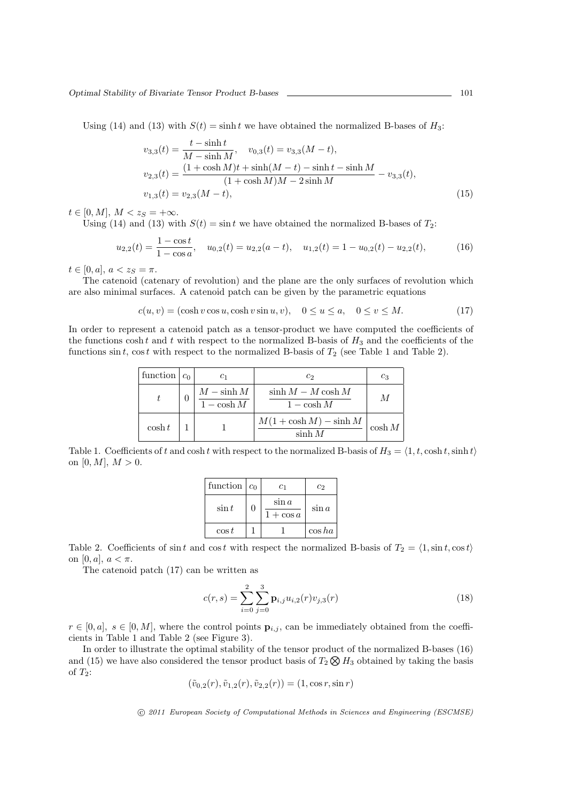Using (14) and (13) with  $S(t) = \sinh t$  we have obtained the normalized B-bases of  $H_3$ :

$$
v_{3,3}(t) = \frac{t - \sinh t}{M - \sinh M}, \quad v_{0,3}(t) = v_{3,3}(M - t),
$$
  
\n
$$
v_{2,3}(t) = \frac{(1 + \cosh M)t + \sinh(M - t) - \sinh t - \sinh M}{(1 + \cosh M)M - 2\sinh M} - v_{3,3}(t),
$$
  
\n
$$
v_{1,3}(t) = v_{2,3}(M - t),
$$
\n(15)

 $t \in [0, M], M < z_S = +\infty.$ 

Using (14) and (13) with  $S(t) = \sin t$  we have obtained the normalized B-bases of  $T_2$ :

$$
u_{2,2}(t) = \frac{1 - \cos t}{1 - \cos a}, \quad u_{0,2}(t) = u_{2,2}(a - t), \quad u_{1,2}(t) = 1 - u_{0,2}(t) - u_{2,2}(t), \tag{16}
$$

 $t \in [0, a], a < z_S = \pi.$ 

The catenoid (catenary of revolution) and the plane are the only surfaces of revolution which are also minimal surfaces. A catenoid patch can be given by the parametric equations

$$
c(u, v) = (\cosh v \cos u, \cosh v \sin u, v), \quad 0 \le u \le a, \quad 0 \le v \le M. \tag{17}
$$

In order to represent a catenoid patch as a tensor-product we have computed the coefficients of the functions  $\cosh t$  and  $t$  with respect to the normalized B-basis of  $H_3$  and the coefficients of the functions  $\sin t$ ,  $\cos t$  with respect to the normalized B-basis of  $T_2$  (see Table 1 and Table 2).

| function $ c_0 $ |                            | $c_2$                                  | $c_3$     |
|------------------|----------------------------|----------------------------------------|-----------|
|                  | $M-\sinh M$<br>$1-\cosh M$ | $\sinh M - M \cosh M$<br>$1 - \cosh M$ | M         |
| $\cosh t$        |                            | $M(1+\cosh M)-\sinh M$<br>$\sinh M$    | $\cosh M$ |

Table 1. Coefficients of *t* and cosh *t* with respect to the normalized B-basis of  $H_3 = \langle 1, t, \cosh t, \sinh t \rangle$ on  $[0, M]$ ,  $M > 0$ .

| function | c <sub>0</sub> | c <sub>1</sub>         | $c_2$     |
|----------|----------------|------------------------|-----------|
| $\sin t$ | $\mathcal{O}$  | $\sin a$<br>$1+\cos a$ | $\sin a$  |
| $\cos t$ |                |                        | $\cos ha$ |

Table 2. Coefficients of  $\sin t$  and  $\cos t$  with respect the normalized B-basis of  $T_2 = \langle 1, \sin t, \cos t \rangle$ on  $[0, a], a < \pi$ .

The catenoid patch (17) can be written as

$$
c(r,s) = \sum_{i=0}^{2} \sum_{j=0}^{3} \mathbf{p}_{i,j} u_{i,2}(r) v_{j,3}(r)
$$
 (18)

 $r \in [0, a]$ ,  $s \in [0, M]$ , where the control points  $\mathbf{p}_{i,j}$ , can be immediately obtained from the coefficients in Table 1 and Table 2 (see Figure 3).

In order to illustrate the optimal stability of the tensor product of the normalized B-bases (16) and (15) we have also considered the tensor product basis of  $T_2 \otimes H_3$  obtained by taking the basis of *T*2:

$$
(\tilde{v}_{0,2}(r), \tilde{v}_{1,2}(r), \tilde{v}_{2,2}(r)) = (1, \cos r, \sin r)
$$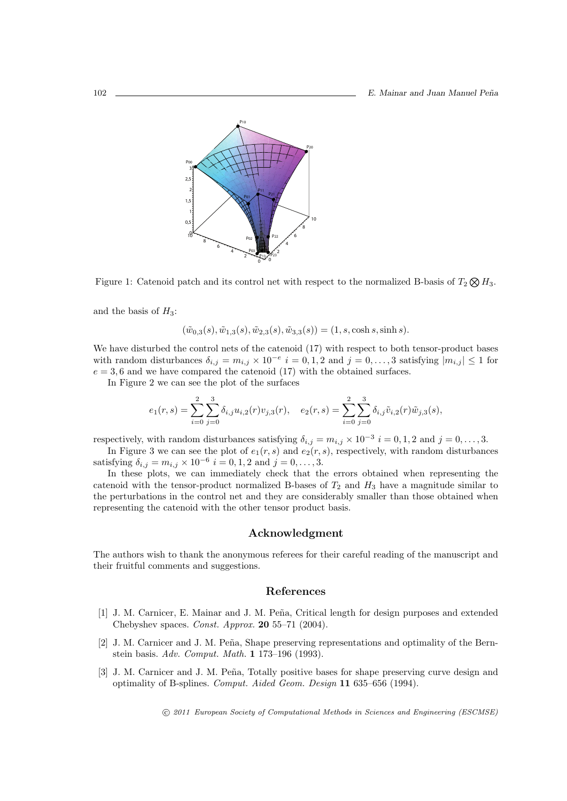

Figure 1: Catenoid patch and its control net with respect to the normalized B-basis of  $T_2 \otimes H_3$ .

and the basis of  $H_3$ :

$$
(\tilde{w}_{0,3}(s), \tilde{w}_{1,3}(s), \tilde{w}_{2,3}(s), \tilde{w}_{3,3}(s)) = (1, s, \cosh s, \sinh s).
$$

We have disturbed the control nets of the catenoid (17) with respect to both tensor-product bases with random disturbances  $\delta_{i,j} = m_{i,j} \times 10^{-e}$  *i* = 0, 1, 2 and *j* = 0, ..., 3 satisfying  $|m_{i,j}| \leq 1$  for  $e = 3, 6$  and we have compared the catenoid (17) with the obtained surfaces.

In Figure 2 we can see the plot of the surfaces

$$
e_1(r,s) = \sum_{i=0}^{2} \sum_{j=0}^{3} \delta_{i,j} u_{i,2}(r) v_{j,3}(r), \quad e_2(r,s) = \sum_{i=0}^{2} \sum_{j=0}^{3} \delta_{i,j} \tilde{v}_{i,2}(r) \tilde{w}_{j,3}(s),
$$

respectively, with random disturbances satisfying  $\delta_{i,j} = m_{i,j} \times 10^{-3}$  *i* = 0, 1, 2 and *j* = 0, ..., 3.

In Figure 3 we can see the plot of  $e_1(r, s)$  and  $e_2(r, s)$ , respectively, with random disturbances satisfying  $\delta_{i,j} = m_{i,j} \times 10^{-6}$  *i* = 0, 1, 2 and *j* = 0, ..., 3.

In these plots, we can immediately check that the errors obtained when representing the catenoid with the tensor-product normalized B-bases of  $T_2$  and  $H_3$  have a magnitude similar to the perturbations in the control net and they are considerably smaller than those obtained when representing the catenoid with the other tensor product basis.

#### **Acknowledgment**

The authors wish to thank the anonymous referees for their careful reading of the manuscript and their fruitful comments and suggestions.

#### **References**

- [1] J. M. Carnicer, E. Mainar and J. M. Peña, Critical length for design purposes and extended Chebyshev spaces. *Const. Approx.* **20** 55–71 (2004).
- [2] J. M. Carnicer and J. M. Peña, Shape preserving representations and optimality of the Bernstein basis. *Adv. Comput. Math.* **1** 173–196 (1993).
- [3] J. M. Carnicer and J. M. Peña, Totally positive bases for shape preserving curve design and optimality of B-splines. *Comput. Aided Geom. Design* **11** 635–656 (1994).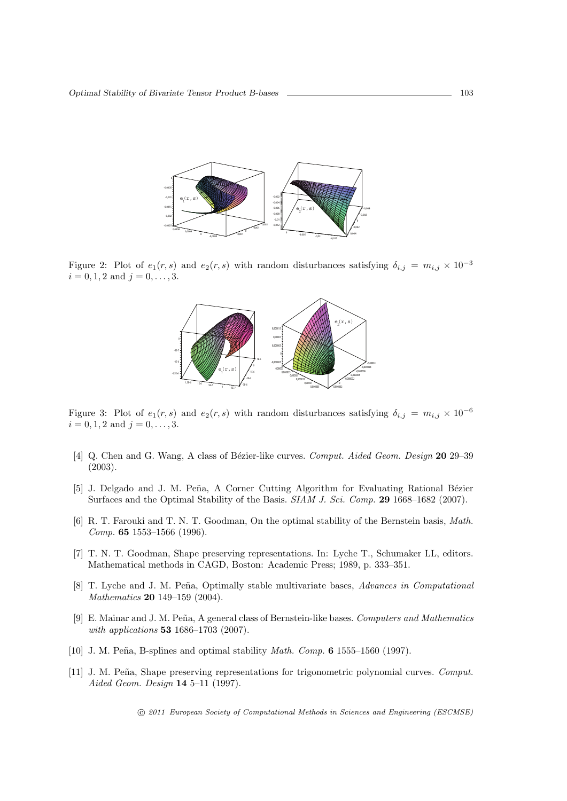

Figure 2: Plot of  $e_1(r, s)$  and  $e_2(r, s)$  with random disturbances satisfying  $\delta_{i,j} = m_{i,j} \times 10^{-3}$  $i = 0, 1, 2$  and  $j = 0, \ldots, 3$ .



Figure 3: Plot of  $e_1(r, s)$  and  $e_2(r, s)$  with random disturbances satisfying  $\delta_{i,j} = m_{i,j} \times 10^{-6}$  $i = 0, 1, 2$  and  $j = 0, \ldots, 3$ .

- [4] Q. Chen and G. Wang, A class of B´ezier-like curves. *Comput. Aided Geom. Design* **20** 29–39 (2003).
- [5] J. Delgado and J. M. Peña, A Corner Cutting Algorithm for Evaluating Rational Bézier Surfaces and the Optimal Stability of the Basis. *SIAM J. Sci. Comp.* **29** 1668–1682 (2007).
- [6] R. T. Farouki and T. N. T. Goodman, On the optimal stability of the Bernstein basis, *Math. Comp.* **65** 1553–1566 (1996).
- [7] T. N. T. Goodman, Shape preserving representations. In: Lyche T., Schumaker LL, editors. Mathematical methods in CAGD, Boston: Academic Press; 1989, p. 333–351.
- [8] T. Lyche and J. M. Peña, Optimally stable multivariate bases, *Advances in Computational Mathematics* **20** 149–159 (2004).
- [9] E. Mainar and J. M. Peña, A general class of Bernstein-like bases. *Computers and Mathematics with applications* **53** 1686–1703 (2007).
- [10] J. M. Pe˜na, B-splines and optimal stability *Math. Comp.* **6** 1555–1560 (1997).
- [11] J. M. Peña, Shape preserving representations for trigonometric polynomial curves. *Comput. Aided Geom. Design* **14** 5–11 (1997).